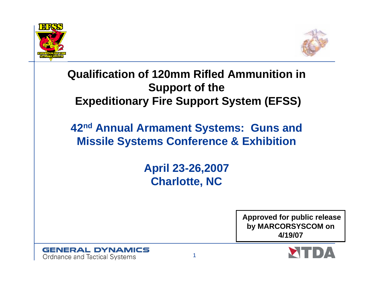



#### **Qualification of 120mm Rifled Ammunition in Support of the Expeditionary Fire Support System (EFSS)**

#### **42nd Annual Armament Systems: Guns and Missile Systems Conference & Exhibition**

**April 23-26,2007 Charlotte, NC**

> **Approved for public release by MARCORSYSCOM on 4/19/07**

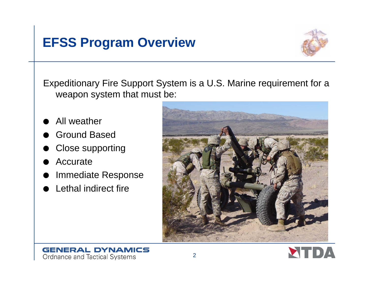#### **EFSS Program Overview**



Expeditionary Fire Support System is a U.S. Marine requirement for a weapon system that must be:

- OAll weather
- OGround Based
- OClose supporting
- OAccurate
- OImmediate Response
- OLethal indirect fire



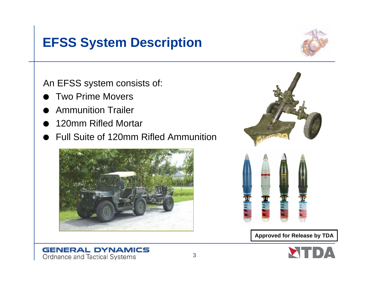#### **EFSS System Description**



An EFSS system consists of:

- OTwo Prime Movers
- OAmmunition Trailer
- O120mm Rifled Mortar
- OFull Suite of 120mm Rifled Ammunition





**Approved for Release by TDA**

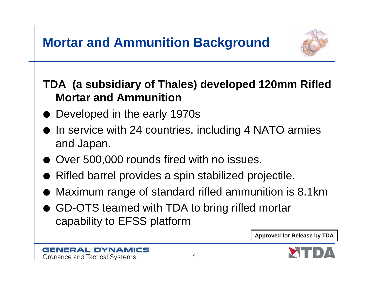

#### **TDA (a subsidiary of Thales) developed 120mm Rifled Mortar and Ammunition**

- $\bullet\,$  Developed in the early 1970s
- In service with 24 countries, including 4 NATO armies and Japan.
- $\bullet\,$  Over 500,000 rounds fired with no issues.
- $\bullet\,$  Rifled barrel provides a spin stabilized projectile.
- $\bullet\,$  Maximum range of standard rifled ammunition is 8.1km
- GD-OTS teamed with TDA to bring rifled mortar capability to EFSS platform



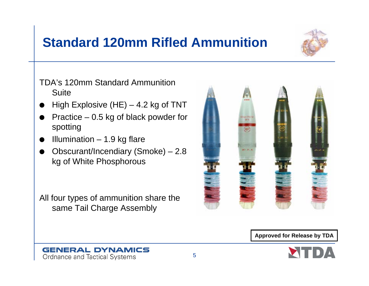#### **Standard 120mm Rifled Ammunition**



TDA's 120mm Standard Ammunition **Suite** 

- OHigh Explosive (HE)  $-$  4.2 kg of TNT
- O Practice – 0.5 kg of black powder for spotting
- OIllumination  $-1.9$  kg flare
- O Obscurant/Incendiary (Smoke) – 2.8 kg of White Phosphorous

All four types of ammunition share the same Tail Charge Assembly



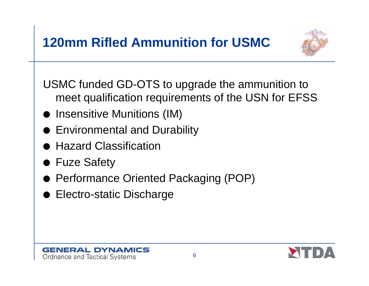

USMC funded GD-OTS to upgrade the ammunition to meet qualification requirements of the USN for EFSS

- $\bullet\,$  Insensitive Munitions (IM)
- $\bullet\,$  Environmental and Durability
- $\bullet\,$  Hazard Classification
- Fuze Safety
- Performance Oriented Packaging (POP)
- $\bullet\,$  Electro-static Discharge

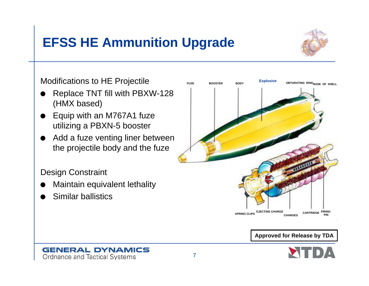## **EFSS HE Ammunition Upgrade**



Modifications to HE Projectile

- O Replace TNT fill with PBXW-128 (HMX based)
- $\bullet$  Equip with an M767A1 fuze utilizing a PBXN-5 booster
- $\bullet$  Add a fuze venting liner between the projectile body and the fuze

Design Constraint

- OMaintain equivalent lethality
- OSimilar ballistics



**Approved for Release by TDA**

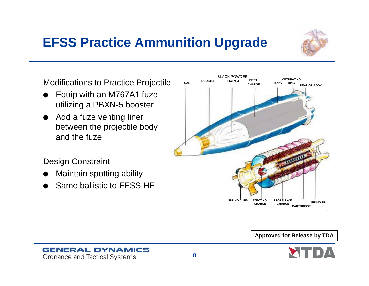### **EFSS Practice Ammunition Upgrade**



Modifications to Practice Projectile

- O Equip with an M767A1 fuze utilizing a PBXN-5 booster
- $\bullet$  Add a fuze venting liner between the projectile body and the fuze

Design Constraint

- OMaintain spotting ability
- OSame ballistic to EFSS HE





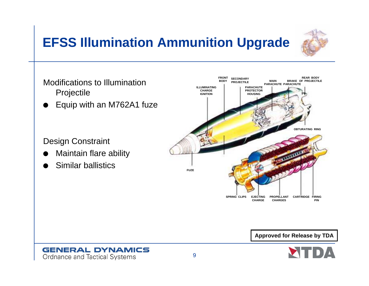# **EFSS Illumination Ammunition Upgrade**





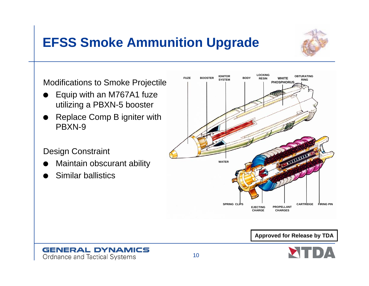# **EFSS Smoke Ammunition Upgrade**



Modifications to Smoke Projectile

- O Equip with an M767A1 fuze utilizing a PBXN-5 booster
- Replace Comp B igniter with PBXN-9

#### Design Constraint

- OMaintain obscurant ability
- OSimilar ballistics



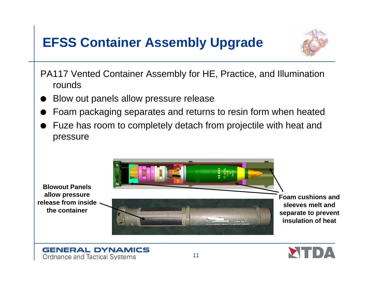## **EFSS Container Assembly Upgrade**



PA117 Vented Container Assembly for HE, Practice, and Illumination rounds

- OBlow out panels allow pressure release
- OFoam packaging separates and returns to resin form when heated
- $\bullet~$  Fuze has room to completely detach from projectile with heat and pressure



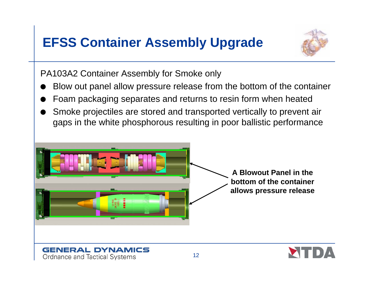## **EFSS Container Assembly Upgrade**



PA103A2 Container Assembly for Smoke only

- OBlow out panel allow pressure release from the bottom of the container
- OFoam packaging separates and returns to resin form when heated
- O Smoke projectiles are stored and transported vertically to prevent air gaps in the white phosphorous resulting in poor ballistic performance



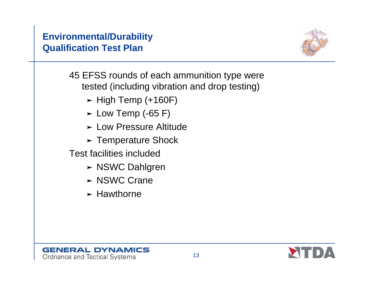#### **Environmental/Durability Qualification Test Plan**



45 EFSS rounds of each ammunition type were tested (including vibration and drop testing)

- $\blacktriangleright$  High Temp (+160F)
- $\blacktriangleright$  Low Temp (-65 F)
- **> Low Pressure Altitude**
- $\blacktriangleright$  Temperature Shock

Test facilities included

- > NSWC Dahlgren
- > NSWC Crane
- $\blacktriangleright$  Hawthorne



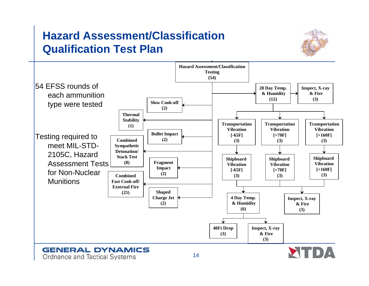#### **Hazard Assessment/Classification Qualification Test Plan**



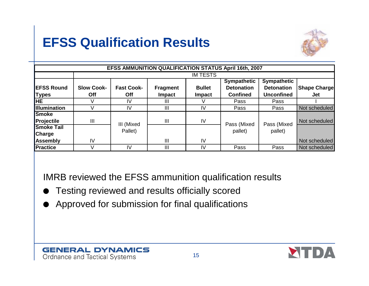## **EFSS Qualification Results**



|                                    |                          |                                 |                                  |                                | <b>EFSS AMMUNITION QUALIFICATION STATUS April 16th, 2007</b> |                                                              |                            |
|------------------------------------|--------------------------|---------------------------------|----------------------------------|--------------------------------|--------------------------------------------------------------|--------------------------------------------------------------|----------------------------|
|                                    | <b>IM TESTS</b>          |                                 |                                  |                                |                                                              |                                                              |                            |
| <b>EFSS Round</b><br><b>Types</b>  | <b>Slow Cook-</b><br>Off | <b>Fast Cook-</b><br><b>Off</b> | <b>Fragment</b><br><b>Impact</b> | <b>Bullet</b><br><b>Impact</b> | <b>Sympathetic</b><br><b>Detonation</b><br><b>Confined</b>   | <b>Sympathetic</b><br><b>Detonation</b><br><b>Unconfined</b> | <b>Shape Charge</b><br>Jet |
| <b>HE</b>                          |                          | IV                              | Ш                                |                                | Pass                                                         | Pass                                                         |                            |
| <b>Illumination</b>                |                          | IV                              | Ш                                | IV                             | Pass                                                         | Pass                                                         | Not scheduled              |
| Smoke<br>Projectile                | $\mathbf{III}$           |                                 | $\mathbf{III}$                   | IV                             |                                                              |                                                              | Not scheduled              |
| <b>Smoke Tail</b><br><b>Charge</b> |                          | III (Mixed<br>Pallet)           |                                  |                                | Pass (Mixed<br>pallet)                                       | Pass (Mixed<br>pallet)                                       |                            |
| Assembly                           | IV                       |                                 | III                              | IV                             |                                                              |                                                              | Not scheduled              |
| Practice                           |                          | IV                              | Ш                                | IV                             | Pass                                                         | Pass                                                         | Not scheduled              |

IMRB reviewed the EFSS ammunition qualification results

- OTesting reviewed and results officially scored
- OApproved for submission for final qualifications